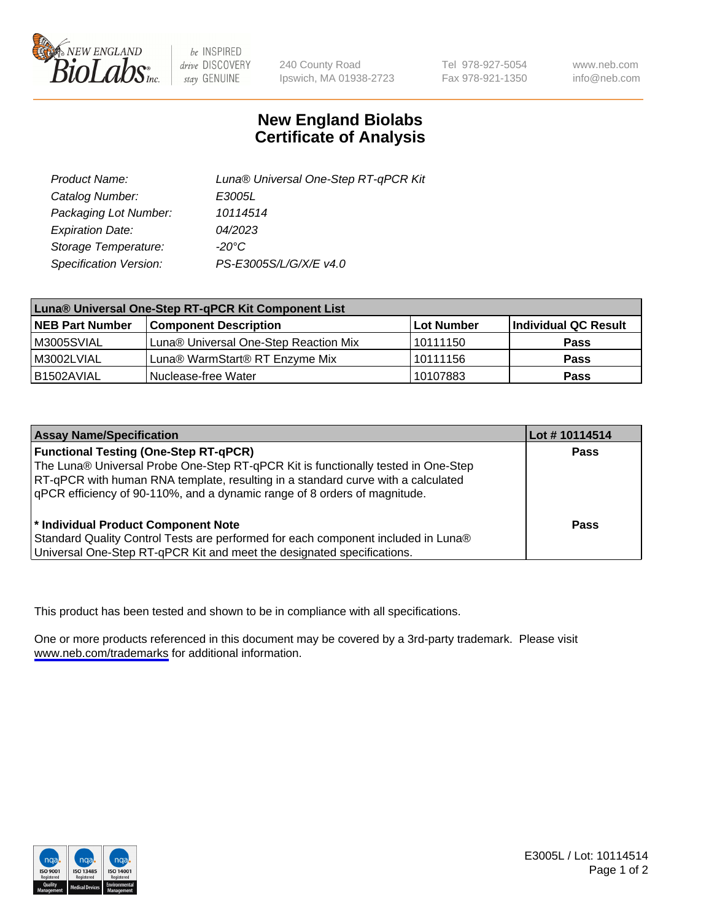

be INSPIRED drive DISCOVERY stay GENUINE

240 County Road Ipswich, MA 01938-2723 Tel 978-927-5054 Fax 978-921-1350

www.neb.com info@neb.com

## **New England Biolabs Certificate of Analysis**

| Product Name:           | Luna® Universal One-Step RT-qPCR Kit |  |
|-------------------------|--------------------------------------|--|
| Catalog Number:         | E3005L                               |  |
| Packaging Lot Number:   | 10114514                             |  |
| <b>Expiration Date:</b> | 04/2023                              |  |
| Storage Temperature:    | $-20^{\circ}$ C                      |  |
| Specification Version:  | PS-E3005S/L/G/X/E v4.0               |  |

| Luna® Universal One-Step RT-qPCR Kit Component List |                                       |            |                      |  |
|-----------------------------------------------------|---------------------------------------|------------|----------------------|--|
| <b>NEB Part Number</b>                              | <b>Component Description</b>          | Lot Number | Individual QC Result |  |
| M3005SVIAL                                          | Luna® Universal One-Step Reaction Mix | l 10111150 | Pass                 |  |
| M3002LVIAL                                          | Luna® WarmStart® RT Enzyme Mix        | 10111156   | <b>Pass</b>          |  |
| B1502AVIAL                                          | Nuclease-free Water                   | 10107883   | <b>Pass</b>          |  |

| <b>Assay Name/Specification</b>                                                                                                                                                                                                                                                                    | Lot #10114514 |
|----------------------------------------------------------------------------------------------------------------------------------------------------------------------------------------------------------------------------------------------------------------------------------------------------|---------------|
| <b>Functional Testing (One-Step RT-qPCR)</b><br>The Luna® Universal Probe One-Step RT-qPCR Kit is functionally tested in One-Step<br>RT-qPCR with human RNA template, resulting in a standard curve with a calculated<br>qPCR efficiency of 90-110%, and a dynamic range of 8 orders of magnitude. | <b>Pass</b>   |
| * Individual Product Component Note<br>Standard Quality Control Tests are performed for each component included in Luna®<br>Universal One-Step RT-qPCR Kit and meet the designated specifications.                                                                                                 | Pass          |

This product has been tested and shown to be in compliance with all specifications.

One or more products referenced in this document may be covered by a 3rd-party trademark. Please visit <www.neb.com/trademarks>for additional information.